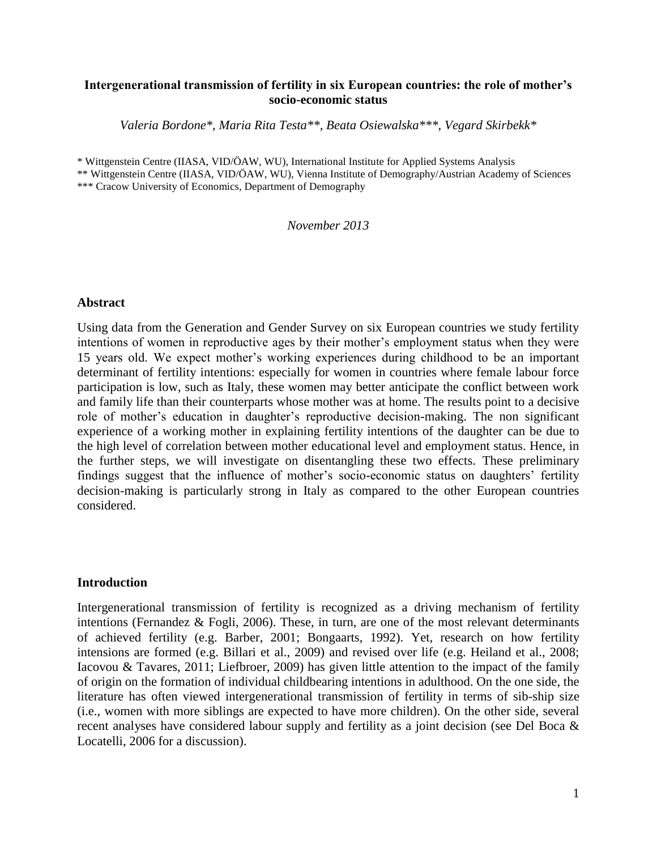## **Intergenerational transmission of fertility in six European countries: the role of mother's socio-economic status**

*Valeria Bordone\*, Maria Rita Testa\*\*, Beata Osiewalska\*\*\*, Vegard Skirbekk\**

\* Wittgenstein Centre (IIASA, VID/ÖAW, WU), International Institute for Applied Systems Analysis

\*\* Wittgenstein Centre (IIASA, VID/ÖAW, WU), Vienna Institute of Demography/Austrian Academy of Sciences \*\*\* Cracow University of Economics, Department of Demography

*November 2013*

#### **Abstract**

Using data from the Generation and Gender Survey on six European countries we study fertility intentions of women in reproductive ages by their mother's employment status when they were 15 years old. We expect mother's working experiences during childhood to be an important determinant of fertility intentions: especially for women in countries where female labour force participation is low, such as Italy, these women may better anticipate the conflict between work and family life than their counterparts whose mother was at home. The results point to a decisive role of mother's education in daughter's reproductive decision-making. The non significant experience of a working mother in explaining fertility intentions of the daughter can be due to the high level of correlation between mother educational level and employment status. Hence, in the further steps, we will investigate on disentangling these two effects. These preliminary findings suggest that the influence of mother's socio-economic status on daughters' fertility decision-making is particularly strong in Italy as compared to the other European countries considered.

#### **Introduction**

Intergenerational transmission of fertility is recognized as a driving mechanism of fertility intentions (Fernandez & Fogli, 2006). These, in turn, are one of the most relevant determinants of achieved fertility (e.g. Barber, 2001; Bongaarts, 1992). Yet, research on how fertility intensions are formed (e.g. Billari et al., 2009) and revised over life (e.g. Heiland et al., 2008; Iacovou & Tavares, 2011; Liefbroer, 2009) has given little attention to the impact of the family of origin on the formation of individual childbearing intentions in adulthood. On the one side, the literature has often viewed intergenerational transmission of fertility in terms of sib-ship size (i.e., women with more siblings are expected to have more children). On the other side, several recent analyses have considered labour supply and fertility as a joint decision (see Del Boca & Locatelli, 2006 for a discussion).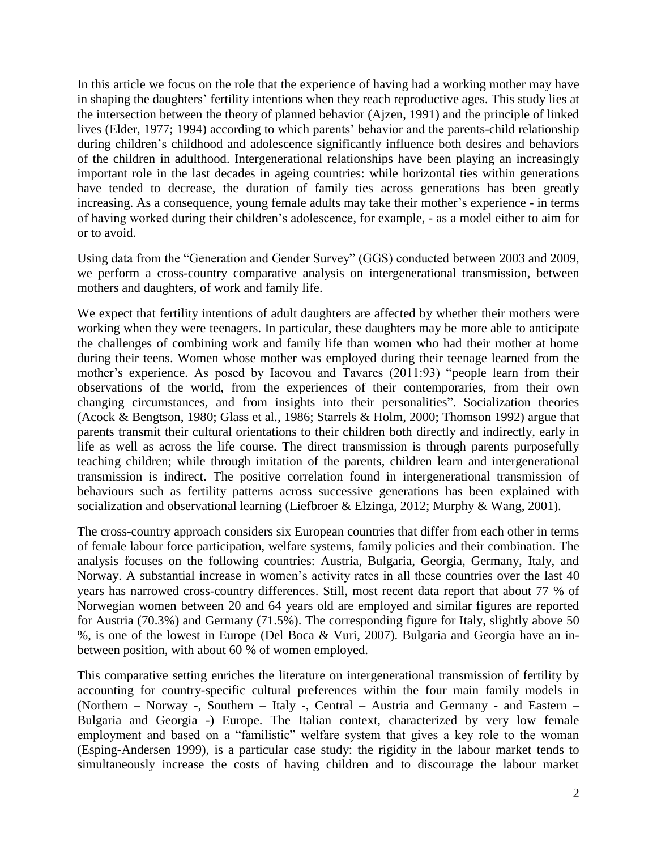In this article we focus on the role that the experience of having had a working mother may have in shaping the daughters' fertility intentions when they reach reproductive ages. This study lies at the intersection between the theory of planned behavior (Ajzen, 1991) and the principle of linked lives (Elder, 1977; 1994) according to which parents' behavior and the parents-child relationship during children's childhood and adolescence significantly influence both desires and behaviors of the children in adulthood. Intergenerational relationships have been playing an increasingly important role in the last decades in ageing countries: while horizontal ties within generations have tended to decrease, the duration of family ties across generations has been greatly increasing. As a consequence, young female adults may take their mother's experience - in terms of having worked during their children's adolescence, for example, - as a model either to aim for or to avoid.

Using data from the "Generation and Gender Survey" (GGS) conducted between 2003 and 2009, we perform a cross-country comparative analysis on intergenerational transmission, between mothers and daughters, of work and family life.

We expect that fertility intentions of adult daughters are affected by whether their mothers were working when they were teenagers. In particular, these daughters may be more able to anticipate the challenges of combining work and family life than women who had their mother at home during their teens. Women whose mother was employed during their teenage learned from the mother's experience. As posed by Iacovou and Tavares (2011:93) "people learn from their observations of the world, from the experiences of their contemporaries, from their own changing circumstances, and from insights into their personalities". Socialization theories (Acock & Bengtson, 1980; Glass et al., 1986; Starrels & Holm, 2000; Thomson 1992) argue that parents transmit their cultural orientations to their children both directly and indirectly, early in life as well as across the life course. The direct transmission is through parents purposefully teaching children; while through imitation of the parents, children learn and intergenerational transmission is indirect. The positive correlation found in intergenerational transmission of behaviours such as fertility patterns across successive generations has been explained with socialization and observational learning (Liefbroer & Elzinga, 2012; Murphy & Wang, 2001).

The cross-country approach considers six European countries that differ from each other in terms of female labour force participation, welfare systems, family policies and their combination. The analysis focuses on the following countries: Austria, Bulgaria, Georgia, Germany, Italy, and Norway. A substantial increase in women's activity rates in all these countries over the last 40 years has narrowed cross-country differences. Still, most recent data report that about 77 % of Norwegian women between 20 and 64 years old are employed and similar figures are reported for Austria (70.3%) and Germany (71.5%). The corresponding figure for Italy, slightly above 50 %, is one of the lowest in Europe (Del Boca & Vuri, 2007). Bulgaria and Georgia have an inbetween position, with about 60 % of women employed.

This comparative setting enriches the literature on intergenerational transmission of fertility by accounting for country-specific cultural preferences within the four main family models in (Northern – Norway -, Southern – Italy -, Central – Austria and Germany - and Eastern – Bulgaria and Georgia -) Europe. The Italian context, characterized by very low female employment and based on a "familistic" welfare system that gives a key role to the woman (Esping-Andersen 1999), is a particular case study: the rigidity in the labour market tends to simultaneously increase the costs of having children and to discourage the labour market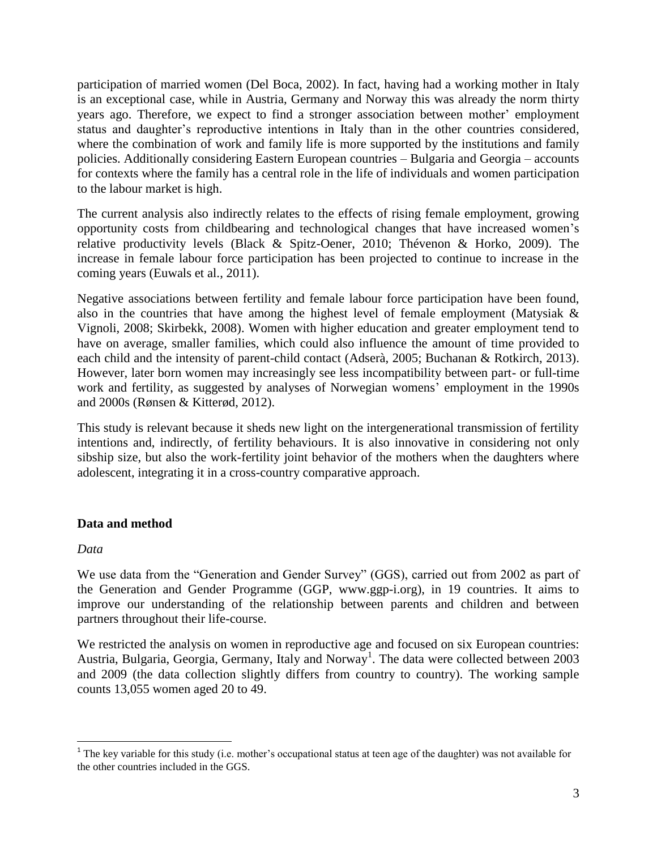participation of married women (Del Boca, 2002). In fact, having had a working mother in Italy is an exceptional case, while in Austria, Germany and Norway this was already the norm thirty years ago. Therefore, we expect to find a stronger association between mother' employment status and daughter's reproductive intentions in Italy than in the other countries considered, where the combination of work and family life is more supported by the institutions and family policies. Additionally considering Eastern European countries – Bulgaria and Georgia – accounts for contexts where the family has a central role in the life of individuals and women participation to the labour market is high.

The current analysis also indirectly relates to the effects of rising female employment, growing opportunity costs from childbearing and technological changes that have increased women's relative productivity levels (Black & Spitz-Oener, 2010; Thévenon & Horko, 2009). The increase in female labour force participation has been projected to continue to increase in the coming years (Euwals et al., 2011).

Negative associations between fertility and female labour force participation have been found, also in the countries that have among the highest level of female employment (Matysiak & Vignoli, 2008; Skirbekk, 2008). Women with higher education and greater employment tend to have on average, smaller families, which could also influence the amount of time provided to each child and the intensity of parent-child contact (Adserà, 2005; Buchanan & Rotkirch, 2013). However, later born women may increasingly see less incompatibility between part- or full-time work and fertility, as suggested by analyses of Norwegian womens' employment in the 1990s and 2000s (Rønsen & Kitterød, 2012).

This study is relevant because it sheds new light on the intergenerational transmission of fertility intentions and, indirectly, of fertility behaviours. It is also innovative in considering not only sibship size, but also the work-fertility joint behavior of the mothers when the daughters where adolescent, integrating it in a cross-country comparative approach.

## **Data and method**

## *Data*

We use data from the "Generation and Gender Survey" (GGS), carried out from 2002 as part of the Generation and Gender Programme (GGP, www.ggp-i.org), in 19 countries. It aims to improve our understanding of the relationship between parents and children and between partners throughout their life-course.

We restricted the analysis on women in reproductive age and focused on six European countries: Austria, Bulgaria, Georgia, Germany, Italy and Norway<sup>1</sup>. The data were collected between 2003 and 2009 (the data collection slightly differs from country to country). The working sample counts 13,055 women aged 20 to 49.

<sup>&</sup>lt;sup>1</sup> The key variable for this study (i.e. mother's occupational status at teen age of the daughter) was not available for the other countries included in the GGS.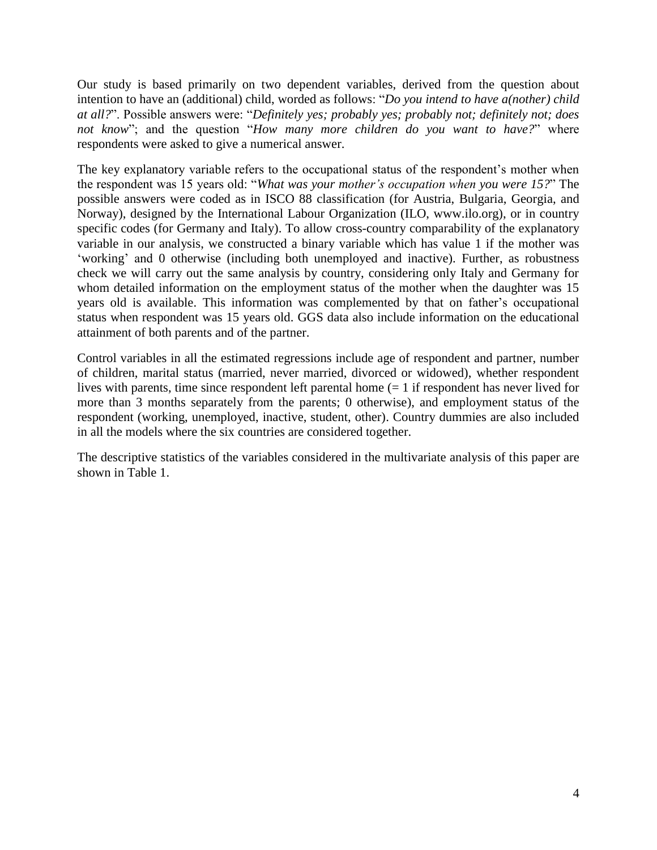Our study is based primarily on two dependent variables, derived from the question about intention to have an (additional) child, worded as follows: "*Do you intend to have a(nother) child at all?*". Possible answers were: "*Definitely yes; probably yes; probably not; definitely not; does not know*"; and the question "*How many more children do you want to have?*" where respondents were asked to give a numerical answer.

The key explanatory variable refers to the occupational status of the respondent's mother when the respondent was 15 years old: "*What was your mother's occupation when you were 15?*" The possible answers were coded as in ISCO 88 classification (for Austria, Bulgaria, Georgia, and Norway), designed by the International Labour Organization (ILO, www.ilo.org), or in country specific codes (for Germany and Italy). To allow cross-country comparability of the explanatory variable in our analysis, we constructed a binary variable which has value 1 if the mother was 'working' and 0 otherwise (including both unemployed and inactive). Further, as robustness check we will carry out the same analysis by country, considering only Italy and Germany for whom detailed information on the employment status of the mother when the daughter was 15 years old is available. This information was complemented by that on father's occupational status when respondent was 15 years old. GGS data also include information on the educational attainment of both parents and of the partner.

Control variables in all the estimated regressions include age of respondent and partner, number of children, marital status (married, never married, divorced or widowed), whether respondent lives with parents, time since respondent left parental home  $(= 1 \text{ if }$  respondent has never lived for more than 3 months separately from the parents; 0 otherwise), and employment status of the respondent (working, unemployed, inactive, student, other). Country dummies are also included in all the models where the six countries are considered together.

The descriptive statistics of the variables considered in the multivariate analysis of this paper are shown in Table 1.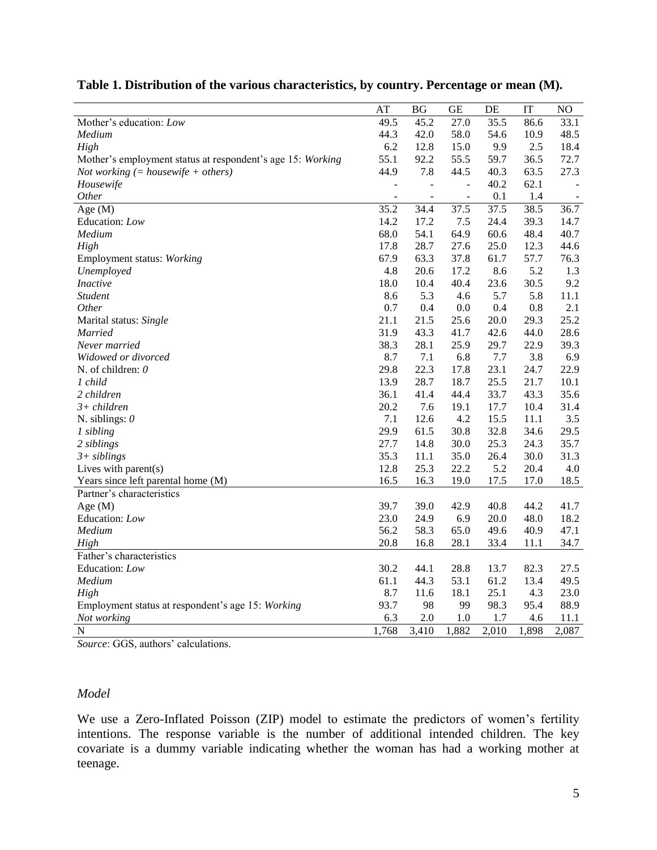|  |  | Table 1. Distribution of the various characteristics, by country. Percentage or mean (M). |  |
|--|--|-------------------------------------------------------------------------------------------|--|
|  |  |                                                                                           |  |

|                                                            | AT                       | BG                       | <b>GE</b>                | DE    | IT    | NO     |
|------------------------------------------------------------|--------------------------|--------------------------|--------------------------|-------|-------|--------|
| Mother's education: Low                                    | 49.5                     | 45.2                     | 27.0                     | 35.5  | 86.6  | 33.1   |
| Medium                                                     | 44.3                     | 42.0                     | 58.0                     | 54.6  | 10.9  | 48.5   |
| High                                                       | 6.2                      | 12.8                     | 15.0                     | 9.9   | 2.5   | 18.4   |
| Mother's employment status at respondent's age 15: Working | 55.1                     | 92.2                     | 55.5                     | 59.7  | 36.5  | 72.7   |
| Not working $(= \text{housewife} + \text{others})$         | 44.9                     | 7.8                      | 44.5                     | 40.3  | 63.5  | 27.3   |
| Housewife                                                  | ÷,                       | $\overline{a}$           | $\overline{\phantom{a}}$ | 40.2  | 62.1  |        |
| Other                                                      | $\overline{\phantom{a}}$ | $\overline{\phantom{a}}$ | $\overline{\phantom{a}}$ | 0.1   | 1.4   | $\sim$ |
| Age $(M)$                                                  | 35.2                     | 34.4                     | 37.5                     | 37.5  | 38.5  | 36.7   |
| Education: Low                                             | 14.2                     | 17.2                     | 7.5                      | 24.4  | 39.3  | 14.7   |
| Medium                                                     | 68.0                     | 54.1                     | 64.9                     | 60.6  | 48.4  | 40.7   |
| High                                                       | 17.8                     | 28.7                     | 27.6                     | 25.0  | 12.3  | 44.6   |
| Employment status: Working                                 | 67.9                     | 63.3                     | 37.8                     | 61.7  | 57.7  | 76.3   |
| Unemployed                                                 | 4.8                      | 20.6                     | 17.2                     | 8.6   | 5.2   | 1.3    |
| <i>Inactive</i>                                            | 18.0                     | 10.4                     | 40.4                     | 23.6  | 30.5  | 9.2    |
| <b>Student</b>                                             | 8.6                      | 5.3                      | 4.6                      | 5.7   | 5.8   | 11.1   |
| <i>Other</i>                                               | 0.7                      | 0.4                      | 0.0                      | 0.4   | 0.8   | 2.1    |
| Marital status: Single                                     | 21.1                     | 21.5                     | 25.6                     | 20.0  | 29.3  | 25.2   |
| <b>Married</b>                                             | 31.9                     | 43.3                     | 41.7                     | 42.6  | 44.0  | 28.6   |
| Never married                                              | 38.3                     | 28.1                     | 25.9                     | 29.7  | 22.9  | 39.3   |
| Widowed or divorced                                        | 8.7                      | 7.1                      | 6.8                      | 7.7   | 3.8   | 6.9    |
| N. of children: $0$                                        | 29.8                     | 22.3                     | 17.8                     | 23.1  | 24.7  | 22.9   |
| 1 child                                                    | 13.9                     | 28.7                     | 18.7                     | 25.5  | 21.7  | 10.1   |
| 2 children                                                 | 36.1                     | 41.4                     | 44.4                     | 33.7  | 43.3  | 35.6   |
| $3+$ children                                              | 20.2                     | 7.6                      | 19.1                     | 17.7  | 10.4  | 31.4   |
| N. siblings: $\theta$                                      | 7.1                      | 12.6                     | 4.2                      | 15.5  | 11.1  | 3.5    |
| 1 sibling                                                  | 29.9                     | 61.5                     | 30.8                     | 32.8  | 34.6  | 29.5   |
| 2 siblings                                                 | 27.7                     | 14.8                     | 30.0                     | 25.3  | 24.3  | 35.7   |
| $3+$ siblings                                              | 35.3                     | 11.1                     | 35.0                     | 26.4  | 30.0  | 31.3   |
| Lives with parent $(s)$                                    | 12.8                     | 25.3                     | 22.2                     | 5.2   | 20.4  | 4.0    |
| Years since left parental home (M)                         | 16.5                     | 16.3                     | 19.0                     | 17.5  | 17.0  | 18.5   |
| Partner's characteristics                                  |                          |                          |                          |       |       |        |
| Age $(M)$                                                  | 39.7                     | 39.0                     | 42.9                     | 40.8  | 44.2  | 41.7   |
| Education: Low                                             | 23.0                     | 24.9                     | 6.9                      | 20.0  | 48.0  | 18.2   |
| Medium                                                     | 56.2                     | 58.3                     | 65.0                     | 49.6  | 40.9  | 47.1   |
| High                                                       | 20.8                     | 16.8                     | 28.1                     | 33.4  | 11.1  | 34.7   |
| Father's characteristics                                   |                          |                          |                          |       |       |        |
| Education: Low                                             | 30.2                     | 44.1                     | 28.8                     | 13.7  | 82.3  | 27.5   |
| Medium                                                     | 61.1                     | 44.3                     | 53.1                     | 61.2  | 13.4  | 49.5   |
| High                                                       | 8.7                      | 11.6                     | 18.1                     | 25.1  | 4.3   | 23.0   |
| Employment status at respondent's age 15: Working          | 93.7                     | 98                       | 99                       | 98.3  | 95.4  | 88.9   |
| Not working                                                | 6.3                      | $2.0\,$                  | 1.0                      | 1.7   | 4.6   | 11.1   |
| N                                                          | 1,768                    | 3,410                    | 1,882                    | 2,010 | 1,898 | 2,087  |

*Source*: GGS, authors' calculations.

# *Model*

We use a Zero-Inflated Poisson (ZIP) model to estimate the predictors of women's fertility intentions. The response variable is the number of additional intended children. The key covariate is a dummy variable indicating whether the woman has had a working mother at teenage.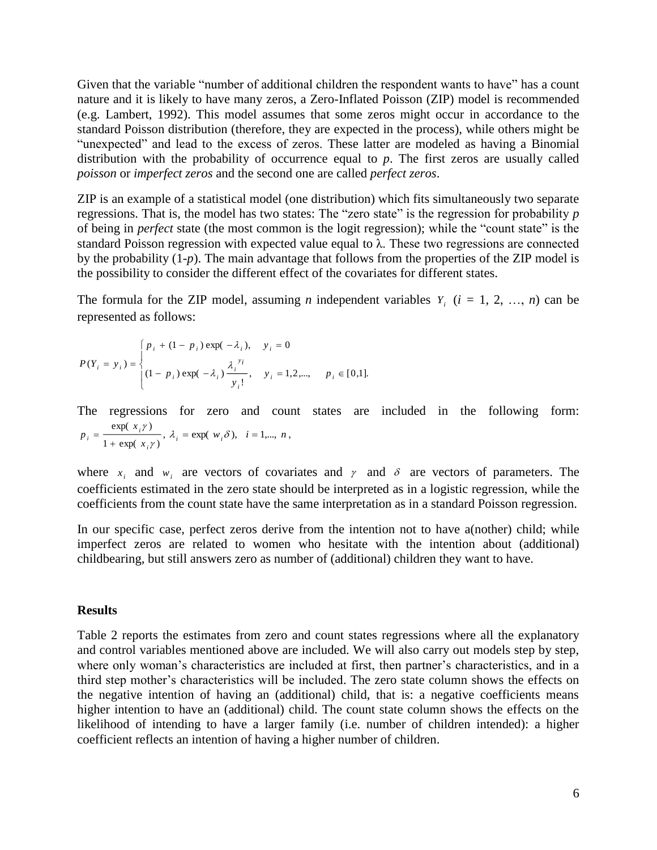Given that the variable "number of additional children the respondent wants to have" has a count nature and it is likely to have many zeros, a Zero-Inflated Poisson (ZIP) model is recommended (e.g. Lambert, 1992). This model assumes that some zeros might occur in accordance to the standard Poisson distribution (therefore, they are expected in the process), while others might be "unexpected" and lead to the excess of zeros. These latter are modeled as having a Binomial distribution with the probability of occurrence equal to *p*. The first zeros are usually called *poisson* or *imperfect zeros* and the second one are called *perfect zeros*.

ZIP is an example of a statistical model (one distribution) which fits simultaneously two separate regressions. That is, the model has two states: The "zero state" is the regression for probability *p*  of being in *perfect* state (the most common is the logit regression); while the "count state" is the standard Poisson regression with expected value equal to  $\lambda$ . These two regressions are connected by the probability (1-*p*). The main advantage that follows from the properties of the ZIP model is the possibility to consider the different effect of the covariates for different states.

The formula for the ZIP model, assuming *n* independent variables  $Y_i$  ( $i = 1, 2, ..., n$ ) can be represented as follows:

$$
P(Y_i = y_i) = \begin{cases} p_i + (1 - p_i) \exp(-\lambda_i), & y_i = 0 \\ (1 - p_i) \exp(-\lambda_i) \frac{\lambda_i^{y_i}}{y_i!}, & y_i = 1, 2, \dots, p_i \in [0, 1]. \end{cases}
$$

The regressions for zero and count states are included in the following form:  $1 + \exp(x_i \gamma)$  $exp(x, \gamma)$ γ γ  $i = \frac{exp(-x_i)}{1 + exp(-x_i)}$  $p_i = \frac{\exp(x_i y_i)}{1 + \exp(x_i y_i)}, \lambda_i = \exp(w_i \delta), \quad i = 1,..., n,$ 

where  $x_i$  and  $w_i$  are vectors of covariates and  $\gamma$  and  $\delta$  are vectors of parameters. The coefficients estimated in the zero state should be interpreted as in a logistic regression, while the coefficients from the count state have the same interpretation as in a standard Poisson regression.

In our specific case, perfect zeros derive from the intention not to have a(nother) child; while imperfect zeros are related to women who hesitate with the intention about (additional) childbearing, but still answers zero as number of (additional) children they want to have.

#### **Results**

Table 2 reports the estimates from zero and count states regressions where all the explanatory and control variables mentioned above are included. We will also carry out models step by step, where only woman's characteristics are included at first, then partner's characteristics, and in a third step mother's characteristics will be included. The zero state column shows the effects on the negative intention of having an (additional) child, that is: a negative coefficients means higher intention to have an (additional) child. The count state column shows the effects on the likelihood of intending to have a larger family (i.e. number of children intended): a higher coefficient reflects an intention of having a higher number of children.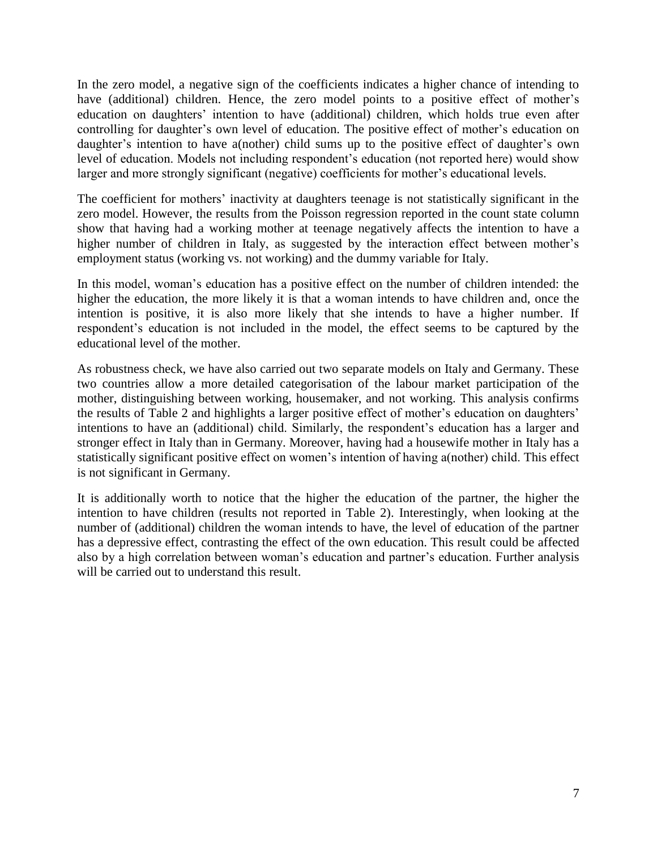In the zero model, a negative sign of the coefficients indicates a higher chance of intending to have (additional) children. Hence, the zero model points to a positive effect of mother's education on daughters' intention to have (additional) children, which holds true even after controlling for daughter's own level of education. The positive effect of mother's education on daughter's intention to have a(nother) child sums up to the positive effect of daughter's own level of education. Models not including respondent's education (not reported here) would show larger and more strongly significant (negative) coefficients for mother's educational levels.

The coefficient for mothers' inactivity at daughters teenage is not statistically significant in the zero model. However, the results from the Poisson regression reported in the count state column show that having had a working mother at teenage negatively affects the intention to have a higher number of children in Italy, as suggested by the interaction effect between mother's employment status (working vs. not working) and the dummy variable for Italy.

In this model, woman's education has a positive effect on the number of children intended: the higher the education, the more likely it is that a woman intends to have children and, once the intention is positive, it is also more likely that she intends to have a higher number. If respondent's education is not included in the model, the effect seems to be captured by the educational level of the mother.

As robustness check, we have also carried out two separate models on Italy and Germany. These two countries allow a more detailed categorisation of the labour market participation of the mother, distinguishing between working, housemaker, and not working. This analysis confirms the results of Table 2 and highlights a larger positive effect of mother's education on daughters' intentions to have an (additional) child. Similarly, the respondent's education has a larger and stronger effect in Italy than in Germany. Moreover, having had a housewife mother in Italy has a statistically significant positive effect on women's intention of having a(nother) child. This effect is not significant in Germany.

It is additionally worth to notice that the higher the education of the partner, the higher the intention to have children (results not reported in Table 2). Interestingly, when looking at the number of (additional) children the woman intends to have, the level of education of the partner has a depressive effect, contrasting the effect of the own education. This result could be affected also by a high correlation between woman's education and partner's education. Further analysis will be carried out to understand this result.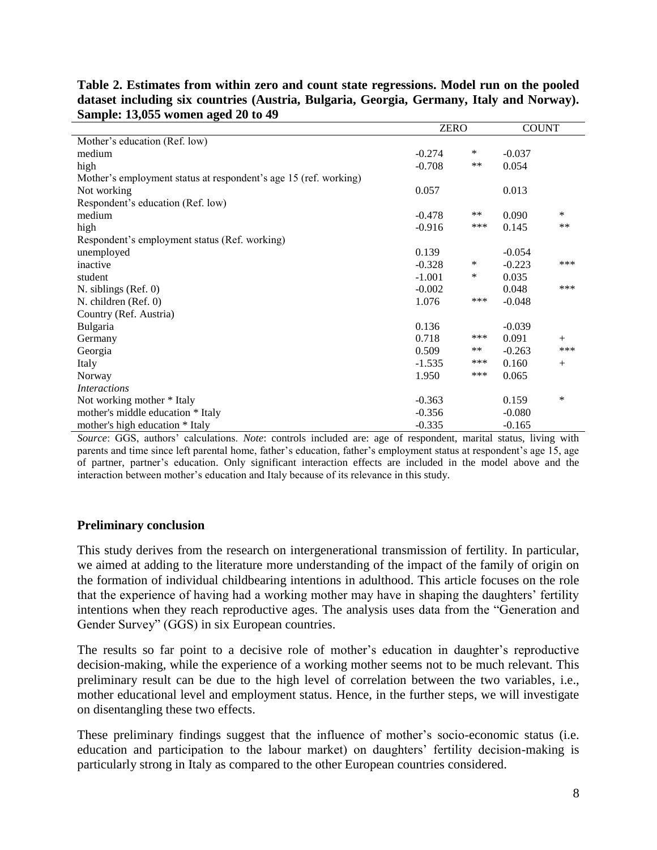|                                                                  |          | <b>ZERO</b> |          | <b>COUNT</b> |
|------------------------------------------------------------------|----------|-------------|----------|--------------|
| Mother's education (Ref. low)                                    |          |             |          |              |
| medium                                                           | $-0.274$ | ∗           | $-0.037$ |              |
| high                                                             | $-0.708$ | $***$       | 0.054    |              |
| Mother's employment status at respondent's age 15 (ref. working) |          |             |          |              |
| Not working                                                      | 0.057    |             | 0.013    |              |
| Respondent's education (Ref. low)                                |          |             |          |              |
| medium                                                           | $-0.478$ | $***$       | 0.090    | *            |
| high                                                             | $-0.916$ | ***         | 0.145    | $***$        |
| Respondent's employment status (Ref. working)                    |          |             |          |              |
| unemployed                                                       | 0.139    |             | $-0.054$ |              |
| inactive                                                         | $-0.328$ | ∗           | $-0.223$ | ***          |
| student                                                          | $-1.001$ | ∗           | 0.035    |              |
| $N.$ siblings (Ref. 0)                                           | $-0.002$ |             | 0.048    | ***          |
| N. children (Ref. 0)                                             | 1.076    | ***         | $-0.048$ |              |
| Country (Ref. Austria)                                           |          |             |          |              |
| Bulgaria                                                         | 0.136    |             | $-0.039$ |              |
| Germany                                                          | 0.718    | ***         | 0.091    | $+$          |
| Georgia                                                          | 0.509    | $***$       | $-0.263$ | ***          |
| Italy                                                            | $-1.535$ | ***         | 0.160    | $+$          |
| Norway                                                           | 1.950    | ***         | 0.065    |              |
| <i>Interactions</i>                                              |          |             |          |              |
| Not working mother * Italy                                       | $-0.363$ |             | 0.159    | *            |
| mother's middle education * Italy                                | $-0.356$ |             | $-0.080$ |              |
| mother's high education * Italy                                  | $-0.335$ |             | $-0.165$ |              |

**Table 2. Estimates from within zero and count state regressions. Model run on the pooled dataset including six countries (Austria, Bulgaria, Georgia, Germany, Italy and Norway). Sample: 13,055 women aged 20 to 49**

*Source*: GGS, authors' calculations. *Note*: controls included are: age of respondent, marital status, living with parents and time since left parental home, father's education, father's employment status at respondent's age 15, age of partner, partner's education. Only significant interaction effects are included in the model above and the interaction between mother's education and Italy because of its relevance in this study.

## **Preliminary conclusion**

This study derives from the research on intergenerational transmission of fertility. In particular, we aimed at adding to the literature more understanding of the impact of the family of origin on the formation of individual childbearing intentions in adulthood. This article focuses on the role that the experience of having had a working mother may have in shaping the daughters' fertility intentions when they reach reproductive ages. The analysis uses data from the "Generation and Gender Survey" (GGS) in six European countries.

The results so far point to a decisive role of mother's education in daughter's reproductive decision-making, while the experience of a working mother seems not to be much relevant. This preliminary result can be due to the high level of correlation between the two variables, i.e., mother educational level and employment status. Hence, in the further steps, we will investigate on disentangling these two effects.

These preliminary findings suggest that the influence of mother's socio-economic status (i.e. education and participation to the labour market) on daughters' fertility decision-making is particularly strong in Italy as compared to the other European countries considered.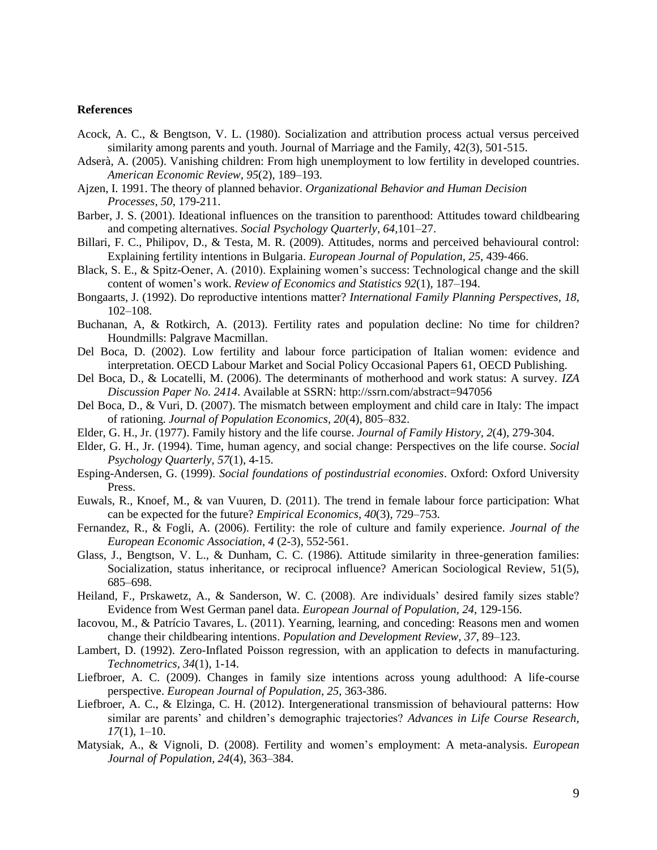#### **References**

- Acock, A. C., & Bengtson, V. L. (1980). Socialization and attribution process actual versus perceived similarity among parents and youth. Journal of Marriage and the Family, 42(3), 501-515.
- Adserà, A. (2005). Vanishing children: From high unemployment to low fertility in developed countries. *American Economic Review, 95*(2), 189–193.
- Ajzen, I. 1991. The theory of planned behavior. *Organizational Behavior and Human Decision Processes, 50*, 179-211.
- Barber, J. S. (2001). Ideational influences on the transition to parenthood: Attitudes toward childbearing and competing alternatives. *Social Psychology Quarterly, 64*,101–27.
- Billari, F. C., Philipov, D., & Testa, M. R. (2009). Attitudes, norms and perceived behavioural control: Explaining fertility intentions in Bulgaria. *European Journal of Population, 25*, 439‐466.
- Black, S. E., & Spitz-Oener, A. (2010). Explaining women's success: Technological change and the skill content of women's work. *Review of Economics and Statistics 92*(1), 187–194.
- Bongaarts, J. (1992). Do reproductive intentions matter? *International Family Planning Perspectives, 18*, 102–108.
- Buchanan, A, & Rotkirch, A. (2013). Fertility rates and population decline: No time for children? Houndmills: Palgrave Macmillan.
- Del Boca, D. (2002). Low fertility and labour force participation of Italian women: evidence and interpretation. OECD Labour Market and Social Policy Occasional Papers 61, OECD Publishing.
- Del Boca, D., & Locatelli, M. (2006). The determinants of motherhood and work status: A survey. *IZA Discussion Paper No. 2414*. Available at SSRN: http://ssrn.com/abstract=947056
- Del Boca, D., & Vuri, D. (2007). The mismatch between employment and child care in Italy: The impact of rationing. *Journal of Population Economics, 20*(4), 805–832.
- Elder, G. H., Jr. (1977). Family history and the life course. *Journal of Family History, 2*(4), 279-304.
- Elder, G. H., Jr. (1994). Time, human agency, and social change: Perspectives on the life course. *Social Psychology Quarterly, 57*(1), 4-15.
- Esping-Andersen, G. (1999). *Social foundations of postindustrial economies*. Oxford: Oxford University Press.
- Euwals, R., Knoef, M., & van Vuuren, D. (2011). The trend in female labour force participation: What can be expected for the future? *Empirical Economics, 40*(3), 729–753.
- Fernandez, R., & Fogli, A. (2006). Fertility: the role of culture and family experience. *Journal of the European Economic Association, 4* (2-3), 552-561.
- Glass, J., Bengtson, V. L., & Dunham, C. C. (1986). Attitude similarity in three-generation families: Socialization, status inheritance, or reciprocal influence? American Sociological Review, 51(5), 685–698.
- Heiland, F., Prskawetz, A., & Sanderson, W. C. (2008). Are individuals' desired family sizes stable? Evidence from West German panel data. *European Journal of Population, 24*, 129-156.
- Iacovou, M., & Patrício Tavares, L. (2011). Yearning, learning, and conceding: Reasons men and women change their childbearing intentions. *Population and Development Review, 37*, 89–123.
- Lambert, D. (1992). Zero-Inflated Poisson regression, with an application to defects in manufacturing. *Technometrics, 34*(1), 1-14.
- Liefbroer, A. C. (2009). Changes in family size intentions across young adulthood: A life-course perspective. *European Journal of Population, 25*, 363-386.
- Liefbroer, A. C., & Elzinga, C. H. (2012). Intergenerational transmission of behavioural patterns: How similar are parents' and children's demographic trajectories? *Advances in Life Course Research, 17*(1), 1–10.
- Matysiak, A., & Vignoli, D. (2008). Fertility and women's employment: A meta-analysis. *European Journal of Population, 24*(4), 363–384.